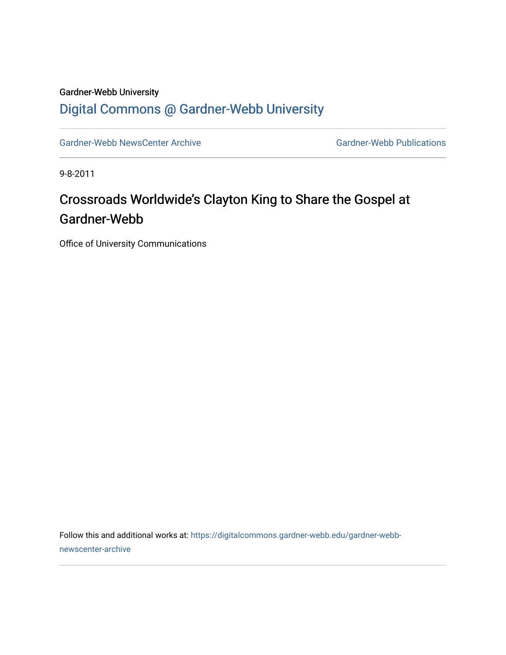## Gardner-Webb University [Digital Commons @ Gardner-Webb University](https://digitalcommons.gardner-webb.edu/)

[Gardner-Webb NewsCenter Archive](https://digitalcommons.gardner-webb.edu/gardner-webb-newscenter-archive) Gardner-Webb Publications

9-8-2011

## Crossroads Worldwide's Clayton King to Share the Gospel at Gardner-Webb

Office of University Communications

Follow this and additional works at: [https://digitalcommons.gardner-webb.edu/gardner-webb](https://digitalcommons.gardner-webb.edu/gardner-webb-newscenter-archive?utm_source=digitalcommons.gardner-webb.edu%2Fgardner-webb-newscenter-archive%2F2021&utm_medium=PDF&utm_campaign=PDFCoverPages)[newscenter-archive](https://digitalcommons.gardner-webb.edu/gardner-webb-newscenter-archive?utm_source=digitalcommons.gardner-webb.edu%2Fgardner-webb-newscenter-archive%2F2021&utm_medium=PDF&utm_campaign=PDFCoverPages)